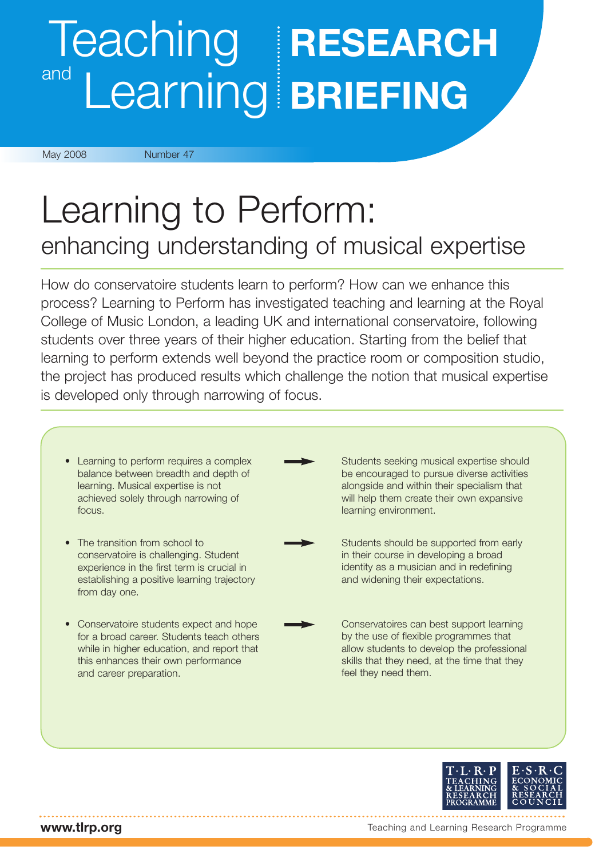# Teaching **RESEARCH** and Learning **BRIEFING**

May 2008 Number 47

# Learning to Perform: enhancing understanding of musical expertise

How do conservatoire students learn to perform? How can we enhance this process? Learning to Perform has investigated teaching and learning at the Royal College of Music London, a leading UK and international conservatoire, following students over three years of their higher education. Starting from the belief that learning to perform extends well beyond the practice room or composition studio, the project has produced results which challenge the notion that musical expertise is developed only through narrowing of focus.





**www.tlrp.org**

Teaching and Learning Research Programme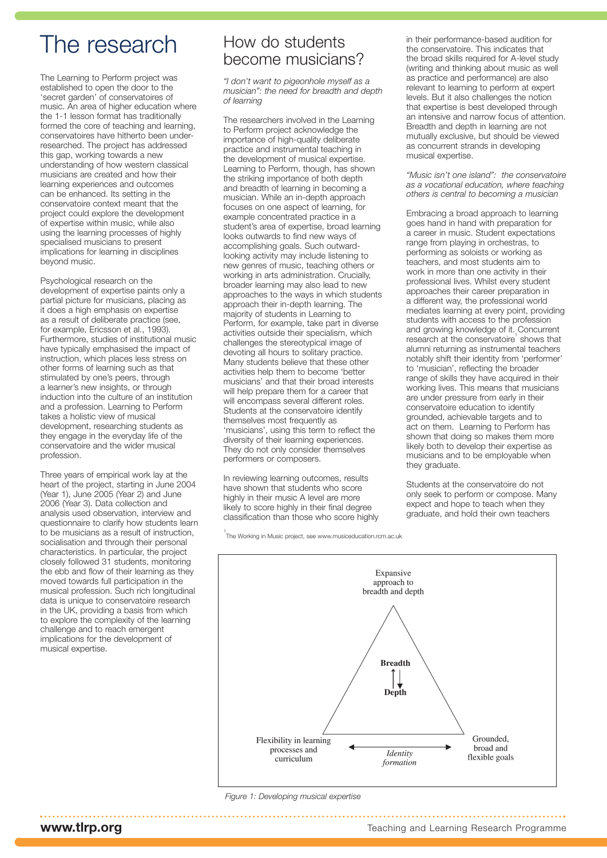## The research

The Learning to Perform project was established to open the door to the 'secret garden' of conservatoires of music. An area of higher education where the 1-1 lesson format has traditionally formed the core of teaching and learning, conservatoires have hitherto been underresearched. The project has addressed this gap, working towards a new understanding of how western classical musicians are created and how their learning experiences and outcomes can be enhanced. Its setting in the conservatoire context meant that the project could explore the development of expertise within music, while also using the learning processes of highly specialised musicians to present implications for learning in disciplines beyond music.

Psychological research on the development of expertise paints only a partial picture for musicians, placing as it does a high emphasis on expertise as a result of deliberate practice (see, for example, Ericsson et al., 1993). Furthermore, studies of institutional music have typically emphasised the impact of instruction, which places less stress on other forms of learning such as that stimulated by one's peers, through a learner's new insights, or through induction into the culture of an institution and a profession. Learning to Perform takes a holistic view of musical development, researching students as they engage in the everyday life of the conservatoire and the wider musical profession.

Three years of empirical work lay at the heart of the project, starting in June 2004 (Year 1), June 2005 (Year 2) and June 2006 (Year 3). Data collection and analysis used observation, interview and questionnaire to clarify how students learn to be musicians as a result of instruction, socialisation and through their personal characteristics. In particular, the project closely followed 31 students, monitoring the ebb and flow of their learning as they moved towards full participation in the musical profession. Such rich longitudinal data is unique to conservatoire research in the UK, providing a basis from which to explore the complexity of the learning challenge and to reach emergent implications for the development of musical expertise.

## How do students become musicians?

*"I don't want to pigeonhole myself as a musician": the need for breadth and depth of learning*

The researchers involved in the Learning to Perform project acknowledge the importance of high-quality deliberate practice and instrumental teaching in the development of musical expertise. Learning to Perform, though, has shown the striking importance of both depth and breadth of learning in becoming a musician. While an in-depth approach focuses on one aspect of learning, for example concentrated practice in a student's area of expertise, broad learning looks outwards to find new ways of accomplishing goals. Such outwardlooking activity may include listening to new genres of music, teaching others or working in arts administration. Crucially, broader learning may also lead to new approaches to the ways in which students approach their in-depth learning. The majority of students in Learning to Perform, for example, take part in diverse activities outside their specialism, which challenges the stereotypical image of devoting all hours to solitary practice. Many students believe that these other activities help them to become 'better musicians' and that their broad interests will help prepare them for a career that will encompass several different roles. Students at the conservatoire identify themselves most frequently as 'musicians', using this term to reflect the diversity of their learning experiences. They do not only consider themselves performers or composers.

In reviewing learning outcomes, results have shown that students who score highly in their music A level are more likely to score highly in their final degree classification than those who score highly

1 The Working in Music project, see www.musiceducation.rcm.ac.uk

in their performance-based audition for the conservatoire. This indicates that the broad skills required for A-level study (writing and thinking about music as well as practice and performance) are also relevant to learning to perform at expert levels. But it also challenges the notion that expertise is best developed through an intensive and narrow focus of attention. Breadth and depth in learning are not mutually exclusive, but should be viewed as concurrent strands in developing musical expertise.

*"Music isn't one island": the conservatoire as a vocational education, where teaching others is central to becoming a musician*

Embracing a broad approach to learning goes hand in hand with preparation for a career in music. Student expectations range from playing in orchestras, to performing as soloists or working as teachers, and most students aim to work in more than one activity in their professional lives. Whilst every student approaches their career preparation in a different way, the professional world mediates learning at every point, providing students with access to the profession and growing knowledge of it. Concurrent research at the conservatoire shows that alumni returning as instrumental teachers notably shift their identity from 'performer' to 'musician', reflecting the broader range of skills they have acquired in their working lives. This means that musicians are under pressure from early in their conservatoire education to identify grounded, achievable targets and to act on them. Learning to Perform has shown that doing so makes them more likely both to develop their expertise as musicians and to be employable when they graduate.

Students at the conservatoire do not only seek to perform or compose. Many expect and hope to teach when they graduate, and hold their own teachers



*Figure 1: Developing musical expertise*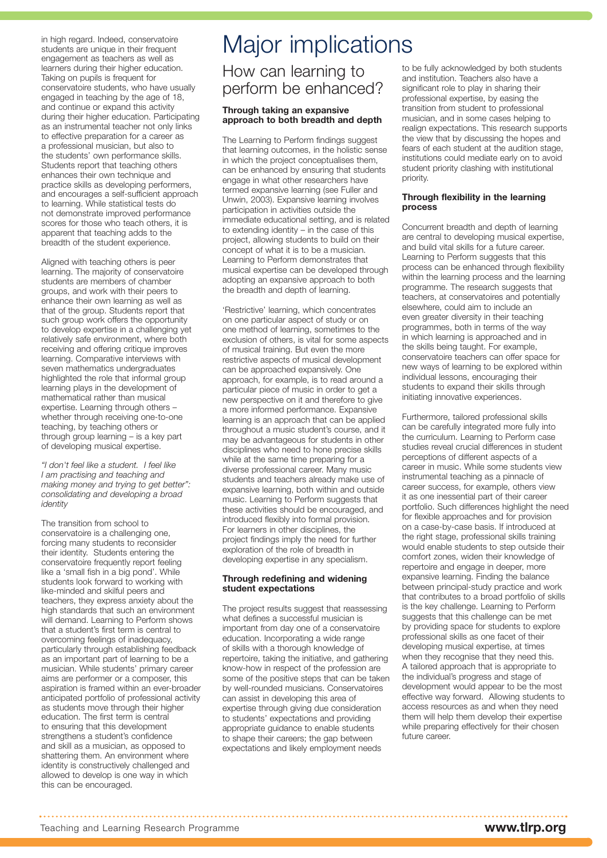in high regard. Indeed, conservatoire students are unique in their frequent engagement as teachers as well as learners during their higher education. Taking on pupils is frequent for conservatoire students, who have usually engaged in teaching by the age of 18, and continue or expand this activity during their higher education. Participating as an instrumental teacher not only links to effective preparation for a career as a professional musician, but also to the students' own performance skills. Students report that teaching others enhances their own technique and practice skills as developing performers, and encourages a self-sufficient approach to learning. While statistical tests do not demonstrate improved performance scores for those who teach others, it is apparent that teaching adds to the breadth of the student experience.

Aligned with teaching others is peer learning. The majority of conservatoire students are members of chamber groups, and work with their peers to enhance their own learning as well as that of the group. Students report that such group work offers the opportunity to develop expertise in a challenging yet relatively safe environment, where both receiving and offering critique improves learning. Comparative interviews with seven mathematics undergraduates highlighted the role that informal group learning plays in the development of mathematical rather than musical expertise. Learning through others – whether through receiving one-to-one teaching, by teaching others or through group learning – is a key part of developing musical expertise.

*"I don't feel like a student. I feel like I am practising and teaching and making money and trying to get better": consolidating and developing a broad identity*

The transition from school to conservatoire is a challenging one, forcing many students to reconsider their identity. Students entering the conservatoire frequently report feeling like a 'small fish in a big pond'. While students look forward to working with like-minded and skilful peers and teachers, they express anxiety about the high standards that such an environment will demand. Learning to Perform shows that a student's first term is central to overcoming feelings of inadequacy, particularly through establishing feedback as an important part of learning to be a musician. While students' primary career aims are performer or a composer, this aspiration is framed within an ever-broader anticipated portfolio of professional activity as students move through their higher education. The first term is central to ensuring that this development strengthens a student's confidence and skill as a musician, as opposed to shattering them. An environment where identity is constructively challenged and allowed to develop is one way in which this can be encouraged.

# Major implications

## How can learning to perform be enhanced?

#### **Through taking an expansive approach to both breadth and depth**

The Learning to Perform findings suggest that learning outcomes, in the holistic sense in which the project conceptualises them, can be enhanced by ensuring that students engage in what other researchers have termed expansive learning (see Fuller and Unwin, 2003). Expansive learning involves participation in activities outside the immediate educational setting, and is related to extending identity – in the case of this project, allowing students to build on their concept of what it is to be a musician. Learning to Perform demonstrates that musical expertise can be developed through adopting an expansive approach to both the breadth and depth of learning.

'Restrictive' learning, which concentrates on one particular aspect of study or on one method of learning, sometimes to the exclusion of others, is vital for some aspects of musical training. But even the more restrictive aspects of musical development can be approached expansively. One approach, for example, is to read around a particular piece of music in order to get a new perspective on it and therefore to give a more informed performance. Expansive learning is an approach that can be applied throughout a music student's course, and it may be advantageous for students in other disciplines who need to hone precise skills while at the same time preparing for a diverse professional career. Many music students and teachers already make use of expansive learning, both within and outside music. Learning to Perform suggests that these activities should be encouraged, and introduced flexibly into formal provision. For learners in other disciplines, the project findings imply the need for further exploration of the role of breadth in developing expertise in any specialism.

#### **Through redefining and widening student expectations**

The project results suggest that reassessing what defines a successful musician is important from day one of a conservatoire education. Incorporating a wide range of skills with a thorough knowledge of repertoire, taking the initiative, and gathering know-how in respect of the profession are some of the positive steps that can be taken by well-rounded musicians. Conservatoires can assist in developing this area of expertise through giving due consideration to students' expectations and providing appropriate guidance to enable students to shape their careers; the gap between expectations and likely employment needs

to be fully acknowledged by both students and institution. Teachers also have a significant role to play in sharing their professional expertise, by easing the transition from student to professional musician, and in some cases helping to realign expectations. This research supports the view that by discussing the hopes and fears of each student at the audition stage, institutions could mediate early on to avoid student priority clashing with institutional priority.

#### **Through flexibility in the learning process**

Concurrent breadth and depth of learning are central to developing musical expertise, and build vital skills for a future career. Learning to Perform suggests that this process can be enhanced through flexibility within the learning process and the learning programme. The research suggests that teachers, at conservatoires and potentially elsewhere, could aim to include an even greater diversity in their teaching programmes, both in terms of the way in which learning is approached and in the skills being taught. For example, conservatoire teachers can offer space for new ways of learning to be explored within individual lessons, encouraging their students to expand their skills through initiating innovative experiences.

Furthermore, tailored professional skills can be carefully integrated more fully into the curriculum. Learning to Perform case studies reveal crucial differences in student perceptions of different aspects of a career in music. While some students view instrumental teaching as a pinnacle of career success, for example, others view it as one inessential part of their career portfolio. Such differences highlight the need for flexible approaches and for provision on a case-by-case basis. If introduced at the right stage, professional skills training would enable students to step outside their comfort zones, widen their knowledge of repertoire and engage in deeper, more expansive learning. Finding the balance between principal-study practice and work that contributes to a broad portfolio of skills is the key challenge. Learning to Perform suggests that this challenge can be met by providing space for students to explore professional skills as one facet of their developing musical expertise, at times when they recognise that they need this. A tailored approach that is appropriate to the individual's progress and stage of development would appear to be the most effective way forward. Allowing students to access resources as and when they need them will help them develop their expertise while preparing effectively for their chosen future career.